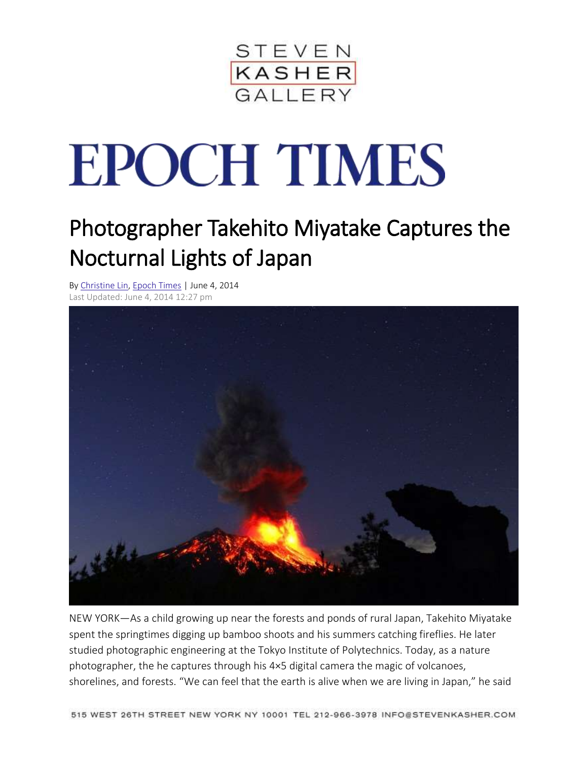

## **EPOCH TIMES**

## Photographer Takehito Miyatake Captures the Nocturnal Lights of Japan

By [Christine](http://www.theepochtimes.com/n3/author/christine-lin/) Lin, [Epoch](http://www.theepochtimes.com/n3/) Times | June 4, 2014 Last Updated: June 4, 2014 12:27 pm



NEW YORK—As a child growing up near the forests and ponds of rural Japan, Takehito Miyatake spent the springtimes digging up bamboo shoots and his summers catching fireflies. He later studied photographic engineering at the Tokyo Institute of Polytechnics. Today, as a nature photographer, the he captures through his 4×5 digital camera the magic of volcanoes, shorelines, and forests. "We can feel that the earth is alive when we are living in Japan," he said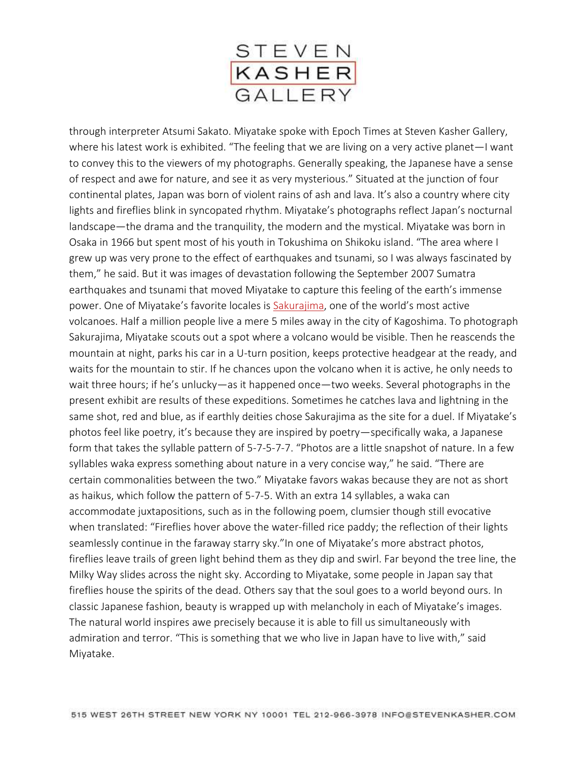

through interpreter Atsumi Sakato. Miyatake spoke with Epoch Times at Steven Kasher Gallery, where his latest work is exhibited. "The feeling that we are living on a very active planet—I want to convey this to the viewers of my photographs. Generally speaking, the Japanese have a sense of respect and awe for nature, and see it as very mysterious." Situated at the junction of four continental plates, Japan was born of violent rains of ash and lava. It's also a country where city lights and fireflies blink in syncopated rhythm. Miyatake's photographs reflect Japan's nocturnal landscape—the drama and the tranquility, the modern and the mystical. Miyatake was born in Osaka in 1966 but spent most of his youth in Tokushima on Shikoku island. "The area where I grew up was very prone to the effect of earthquakes and tsunami, so I was always fascinated by them," he said. But it was images of devastation following the September 2007 Sumatra earthquakes and tsunami that moved Miyatake to capture this feeling of the earth's immense power. One of Miyatake's favorite locales is [Sakurajima](http://www.volcanodiscovery.com/sakurajima.html), one of the world's most active volcanoes. Half a million people live a mere 5 miles away in the city of Kagoshima. To photograph Sakurajima, Miyatake scouts out a spot where a volcano would be visible. Then he reascends the mountain at night, parks his car in a U-turn position, keeps protective headgear at the ready, and waits for the mountain to stir. If he chances upon the volcano when it is active, he only needs to wait three hours; if he's unlucky—as it happened once—two weeks. Several photographs in the present exhibit are results of these expeditions. Sometimes he catches lava and lightning in the same shot, red and blue, as if earthly deities chose Sakurajima as the site for a duel. If Miyatake's photos feel like poetry, it's because they are inspired by poetry—specifically waka, a Japanese form that takes the syllable pattern of 5-7-5-7-7. "Photos are a little snapshot of nature. In a few syllables waka express something about nature in a very concise way," he said. "There are certain commonalities between the two." Miyatake favors wakas because they are not as short as haikus, which follow the pattern of 5-7-5. With an extra 14 syllables, a waka can accommodate juxtapositions, such as in the following poem, clumsier though still evocative when translated: "Fireflies hover above the water-filled rice paddy; the reflection of their lights seamlessly continue in the faraway starry sky."In one of Miyatake's more abstract photos, fireflies leave trails of green light behind them as they dip and swirl. Far beyond the tree line, the Milky Way slides across the night sky. According to Miyatake, some people in Japan say that fireflies house the spirits of the dead. Others say that the soul goes to a world beyond ours. In classic Japanese fashion, beauty is wrapped up with melancholy in each of Miyatake's images. The natural world inspires awe precisely because it is able to fill us simultaneously with admiration and terror. "This is something that we who live in Japan have to live with," said Miyatake.